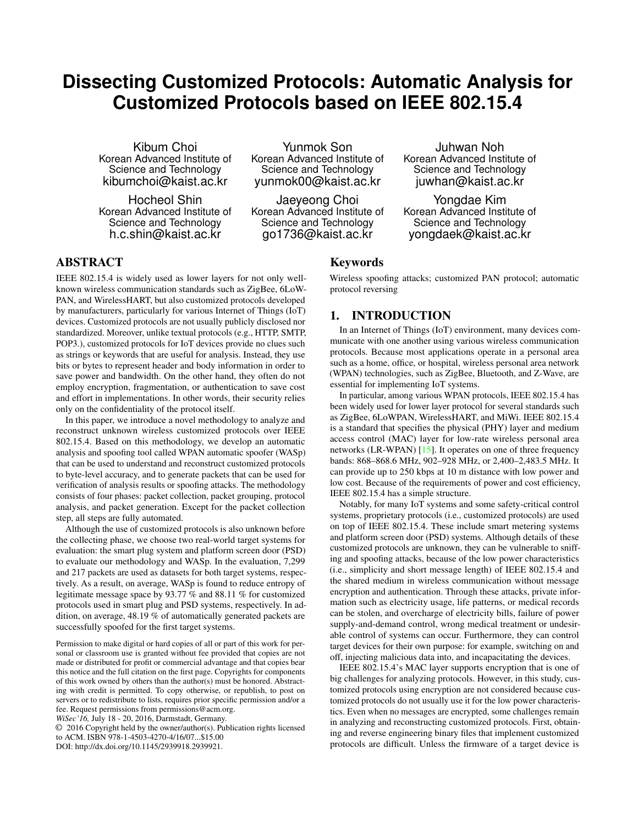# **Dissecting Customized Protocols: Automatic Analysis for Customized Protocols based on IEEE 802.15.4**

Kibum Choi Korean Advanced Institute of Science and Technology kibumchoi@kaist.ac.kr

Hocheol Shin Korean Advanced Institute of Science and Technology h.c.shin@kaist.ac.kr

Yunmok Son Korean Advanced Institute of Science and Technology yunmok00@kaist.ac.kr

Jaeyeong Choi Korean Advanced Institute of Science and Technology go1736@kaist.ac.kr

Juhwan Noh Korean Advanced Institute of Science and Technology juwhan@kaist.ac.kr

Yongdae Kim Korean Advanced Institute of Science and Technology yongdaek@kaist.ac.kr

# ABSTRACT

IEEE 802.15.4 is widely used as lower layers for not only wellknown wireless communication standards such as ZigBee, 6LoW-PAN, and WirelessHART, but also customized protocols developed by manufacturers, particularly for various Internet of Things (IoT) devices. Customized protocols are not usually publicly disclosed nor standardized. Moreover, unlike textual protocols (e.g., HTTP, SMTP, POP3.), customized protocols for IoT devices provide no clues such as strings or keywords that are useful for analysis. Instead, they use bits or bytes to represent header and body information in order to save power and bandwidth. On the other hand, they often do not employ encryption, fragmentation, or authentication to save cost and effort in implementations. In other words, their security relies only on the confidentiality of the protocol itself.

In this paper, we introduce a novel methodology to analyze and reconstruct unknown wireless customized protocols over IEEE 802.15.4. Based on this methodology, we develop an automatic analysis and spoofing tool called WPAN automatic spoofer (WASp) that can be used to understand and reconstruct customized protocols to byte-level accuracy, and to generate packets that can be used for verification of analysis results or spoofing attacks. The methodology consists of four phases: packet collection, packet grouping, protocol analysis, and packet generation. Except for the packet collection step, all steps are fully automated.

Although the use of customized protocols is also unknown before the collecting phase, we choose two real-world target systems for evaluation: the smart plug system and platform screen door (PSD) to evaluate our methodology and WASp. In the evaluation, 7,299 and 217 packets are used as datasets for both target systems, respectively. As a result, on average, WASp is found to reduce entropy of legitimate message space by 93.77 % and 88.11 % for customized protocols used in smart plug and PSD systems, respectively. In addition, on average, 48.19 % of automatically generated packets are successfully spoofed for the first target systems.

Permission to make digital or hard copies of all or part of this work for personal or classroom use is granted without fee provided that copies are not made or distributed for profit or commercial advantage and that copies bear this notice and the full citation on the first page. Copyrights for components of this work owned by others than the author(s) must be honored. Abstracting with credit is permitted. To copy otherwise, or republish, to post on servers or to redistribute to lists, requires prior specific permission and/or a fee. Request permissions from permissions@acm.org.

*WiSec'16,* July 18 - 20, 2016, Darmstadt, Germany.

© 2016 Copyright held by the owner/author(s). Publication rights licensed to ACM. ISBN 978-1-4503-4270-4/16/07...\$15.00

DOI: http://dx.doi.org/10.1145/2939918.2939921.

#### Keywords

Wireless spoofing attacks; customized PAN protocol; automatic protocol reversing

## <span id="page-0-0"></span>1. INTRODUCTION

In an Internet of Things (IoT) environment, many devices communicate with one another using various wireless communication protocols. Because most applications operate in a personal area such as a home, office, or hospital, wireless personal area network (WPAN) technologies, such as ZigBee, Bluetooth, and Z-Wave, are essential for implementing IoT systems.

In particular, among various WPAN protocols, IEEE 802.15.4 has been widely used for lower layer protocol for several standards such as ZigBee, 6LoWPAN, WirelessHART, and MiWi. IEEE 802.15.4 is a standard that specifies the physical (PHY) layer and medium access control (MAC) layer for low-rate wireless personal area networks (LR-WPAN) [\[15\]](#page-10-0). It operates on one of three frequency bands: 868–868.6 MHz, 902–928 MHz, or 2,400–2,483.5 MHz. It can provide up to 250 kbps at 10 m distance with low power and low cost. Because of the requirements of power and cost efficiency, IEEE 802.15.4 has a simple structure.

Notably, for many IoT systems and some safety-critical control systems, proprietary protocols (i.e., customized protocols) are used on top of IEEE 802.15.4. These include smart metering systems and platform screen door (PSD) systems. Although details of these customized protocols are unknown, they can be vulnerable to sniffing and spoofing attacks, because of the low power characteristics (i.e., simplicity and short message length) of IEEE 802.15.4 and the shared medium in wireless communication without message encryption and authentication. Through these attacks, private information such as electricity usage, life patterns, or medical records can be stolen, and overcharge of electricity bills, failure of power supply-and-demand control, wrong medical treatment or undesirable control of systems can occur. Furthermore, they can control target devices for their own purpose: for example, switching on and off, injecting malicious data into, and incapacitating the devices.

IEEE 802.15.4's MAC layer supports encryption that is one of big challenges for analyzing protocols. However, in this study, customized protocols using encryption are not considered because customized protocols do not usually use it for the low power characteristics. Even when no messages are encrypted, some challenges remain in analyzing and reconstructing customized protocols. First, obtaining and reverse engineering binary files that implement customized protocols are difficult. Unless the firmware of a target device is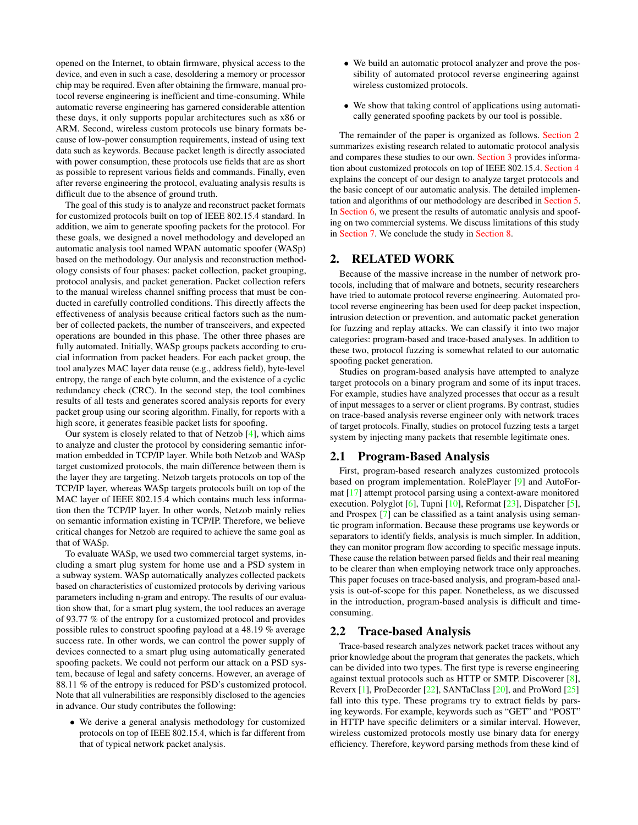opened on the Internet, to obtain firmware, physical access to the device, and even in such a case, desoldering a memory or processor chip may be required. Even after obtaining the firmware, manual protocol reverse engineering is inefficient and time-consuming. While automatic reverse engineering has garnered considerable attention these days, it only supports popular architectures such as x86 or ARM. Second, wireless custom protocols use binary formats because of low-power consumption requirements, instead of using text data such as keywords. Because packet length is directly associated with power consumption, these protocols use fields that are as short as possible to represent various fields and commands. Finally, even after reverse engineering the protocol, evaluating analysis results is difficult due to the absence of ground truth.

The goal of this study is to analyze and reconstruct packet formats for customized protocols built on top of IEEE 802.15.4 standard. In addition, we aim to generate spoofing packets for the protocol. For these goals, we designed a novel methodology and developed an automatic analysis tool named WPAN automatic spoofer (WASp) based on the methodology. Our analysis and reconstruction methodology consists of four phases: packet collection, packet grouping, protocol analysis, and packet generation. Packet collection refers to the manual wireless channel sniffing process that must be conducted in carefully controlled conditions. This directly affects the effectiveness of analysis because critical factors such as the number of collected packets, the number of transceivers, and expected operations are bounded in this phase. The other three phases are fully automated. Initially, WASp groups packets according to crucial information from packet headers. For each packet group, the tool analyzes MAC layer data reuse (e.g., address field), byte-level entropy, the range of each byte column, and the existence of a cyclic redundancy check (CRC). In the second step, the tool combines results of all tests and generates scored analysis reports for every packet group using our scoring algorithm. Finally, for reports with a high score, it generates feasible packet lists for spoofing.

Our system is closely related to that of Netzob [\[4\]](#page-10-1), which aims to analyze and cluster the protocol by considering semantic information embedded in TCP/IP layer. While both Netzob and WASp target customized protocols, the main difference between them is the layer they are targeting. Netzob targets protocols on top of the TCP/IP layer, whereas WASp targets protocols built on top of the MAC layer of IEEE 802.15.4 which contains much less information then the TCP/IP layer. In other words, Netzob mainly relies on semantic information existing in TCP/IP. Therefore, we believe critical changes for Netzob are required to achieve the same goal as that of WASp.

To evaluate WASp, we used two commercial target systems, including a smart plug system for home use and a PSD system in a subway system. WASp automatically analyzes collected packets based on characteristics of customized protocols by deriving various parameters including n-gram and entropy. The results of our evaluation show that, for a smart plug system, the tool reduces an average of 93.77 % of the entropy for a customized protocol and provides possible rules to construct spoofing payload at a 48.19 % average success rate. In other words, we can control the power supply of devices connected to a smart plug using automatically generated spoofing packets. We could not perform our attack on a PSD system, because of legal and safety concerns. However, an average of 88.11 % of the entropy is reduced for PSD's customized protocol. Note that all vulnerabilities are responsibly disclosed to the agencies in advance. Our study contributes the following:

• We derive a general analysis methodology for customized protocols on top of IEEE 802.15.4, which is far different from that of typical network packet analysis.

- We build an automatic protocol analyzer and prove the possibility of automated protocol reverse engineering against wireless customized protocols.
- We show that taking control of applications using automatically generated spoofing packets by our tool is possible.

The remainder of the paper is organized as follows. [Section 2](#page-1-0) summarizes existing research related to automatic protocol analysis and compares these studies to our own. [Section 3](#page-2-0) provides information about customized protocols on top of IEEE 802.15.4. [Section 4](#page-3-0) explains the concept of our design to analyze target protocols and the basic concept of our automatic analysis. The detailed implementation and algorithms of our methodology are described in [Section 5.](#page-4-0) In [Section 6,](#page-7-0) we present the results of automatic analysis and spoofing on two commercial systems. We discuss limitations of this study in [Section 7.](#page-9-0) We conclude the study in [Section 8.](#page-9-1)

#### <span id="page-1-0"></span>2. RELATED WORK

Because of the massive increase in the number of network protocols, including that of malware and botnets, security researchers have tried to automate protocol reverse engineering. Automated protocol reverse engineering has been used for deep packet inspection, intrusion detection or prevention, and automatic packet generation for fuzzing and replay attacks. We can classify it into two major categories: program-based and trace-based analyses. In addition to these two, protocol fuzzing is somewhat related to our automatic spoofing packet generation.

Studies on program-based analysis have attempted to analyze target protocols on a binary program and some of its input traces. For example, studies have analyzed processes that occur as a result of input messages to a server or client programs. By contrast, studies on trace-based analysis reverse engineer only with network traces of target protocols. Finally, studies on protocol fuzzing tests a target system by injecting many packets that resemble legitimate ones.

#### 2.1 Program-Based Analysis

First, program-based research analyzes customized protocols based on program implementation. RolePlayer [\[9\]](#page-10-2) and AutoFormat [\[17\]](#page-10-3) attempt protocol parsing using a context-aware monitored execution. Polyglot [\[6\]](#page-10-4), Tupni [\[10\]](#page-10-5), Reformat [\[23\]](#page-10-6), Dispatcher [\[5\]](#page-10-7), and Prospex [\[7\]](#page-10-8) can be classified as a taint analysis using semantic program information. Because these programs use keywords or separators to identify fields, analysis is much simpler. In addition, they can monitor program flow according to specific message inputs. These cause the relation between parsed fields and their real meaning to be clearer than when employing network trace only approaches. This paper focuses on trace-based analysis, and program-based analysis is out-of-scope for this paper. Nonetheless, as we discussed in the introduction, program-based analysis is difficult and timeconsuming.

#### 2.2 Trace-based Analysis

Trace-based research analyzes network packet traces without any prior knowledge about the program that generates the packets, which can be divided into two types. The first type is reverse engineering against textual protocols such as HTTP or SMTP. Discoverer [\[8\]](#page-10-9), Reverx [\[1\]](#page-10-10), ProDecorder [\[22\]](#page-10-11), SANTaClass [\[20\]](#page-10-12), and ProWord [\[25\]](#page-10-13) fall into this type. These programs try to extract fields by parsing keywords. For example, keywords such as "GET" and "POST" in HTTP have specific delimiters or a similar interval. However, wireless customized protocols mostly use binary data for energy efficiency. Therefore, keyword parsing methods from these kind of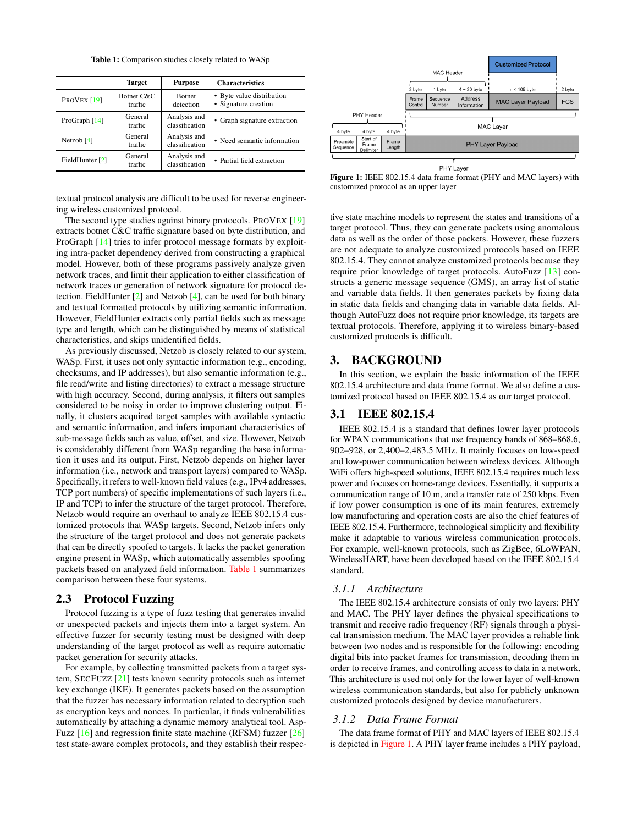Table 1: Comparison studies closely related to WASp

<span id="page-2-1"></span>

|                 | Target                | <b>Purpose</b>                 | <b>Characteristics</b>                            |
|-----------------|-----------------------|--------------------------------|---------------------------------------------------|
| PROVEX [19]     | Botnet C&C<br>traffic | <b>Botnet</b><br>detection     | • Byte value distribution<br>• Signature creation |
| ProGraph [14]   | General<br>traffic    | Analysis and<br>classification | • Graph signature extraction                      |
| Netzob $[4]$    | General<br>traffic    | Analysis and<br>classification | • Need semantic information                       |
| FieldHunter [2] | General<br>traffic    | Analysis and<br>classification | • Partial field extraction                        |

textual protocol analysis are difficult to be used for reverse engineering wireless customized protocol.

The second type studies against binary protocols. PROVEX [\[19\]](#page-10-14) extracts botnet C&C traffic signature based on byte distribution, and ProGraph [\[14\]](#page-10-15) tries to infer protocol message formats by exploiting intra-packet dependency derived from constructing a graphical model. However, both of these programs passively analyze given network traces, and limit their application to either classification of network traces or generation of network signature for protocol detection. FieldHunter  $[2]$  and Netzob  $[4]$ , can be used for both binary and textual formatted protocols by utilizing semantic information. However, FieldHunter extracts only partial fields such as message type and length, which can be distinguished by means of statistical characteristics, and skips unidentified fields.

As previously discussed, Netzob is closely related to our system, WASp. First, it uses not only syntactic information (e.g., encoding, checksums, and IP addresses), but also semantic information (e.g., file read/write and listing directories) to extract a message structure with high accuracy. Second, during analysis, it filters out samples considered to be noisy in order to improve clustering output. Finally, it clusters acquired target samples with available syntactic and semantic information, and infers important characteristics of sub-message fields such as value, offset, and size. However, Netzob is considerably different from WASp regarding the base information it uses and its output. First, Netzob depends on higher layer information (i.e., network and transport layers) compared to WASp. Specifically, it refers to well-known field values (e.g., IPv4 addresses, TCP port numbers) of specific implementations of such layers (i.e., IP and TCP) to infer the structure of the target protocol. Therefore, Netzob would require an overhaul to analyze IEEE 802.15.4 customized protocols that WASp targets. Second, Netzob infers only the structure of the target protocol and does not generate packets that can be directly spoofed to targets. It lacks the packet generation engine present in WASp, which automatically assembles spoofing packets based on analyzed field information. [Table 1](#page-2-1) summarizes comparison between these four systems.

#### 2.3 Protocol Fuzzing

Protocol fuzzing is a type of fuzz testing that generates invalid or unexpected packets and injects them into a target system. An effective fuzzer for security testing must be designed with deep understanding of the target protocol as well as require automatic packet generation for security attacks.

For example, by collecting transmitted packets from a target system, SECFUZZ [\[21\]](#page-10-17) tests known security protocols such as internet key exchange (IKE). It generates packets based on the assumption that the fuzzer has necessary information related to decryption such as encryption keys and nonces. In particular, it finds vulnerabilities automatically by attaching a dynamic memory analytical tool. Asp-Fuzz [\[16\]](#page-10-18) and regression finite state machine (RFSM) fuzzer [\[26\]](#page-10-19) test state-aware complex protocols, and they establish their respec-

<span id="page-2-2"></span>

|                      |                                |                 |                          | MAC Header         |                               | <b>Customized Protocol</b> |            |
|----------------------|--------------------------------|-----------------|--------------------------|--------------------|-------------------------------|----------------------------|------------|
|                      |                                |                 | 2 byte                   | 1 byte             | $4 - 20$ byte                 | $n < 105$ byte             | 2 byte     |
|                      |                                |                 | Frame<br>Control         | Sequence<br>Number | <b>Address</b><br>Information | <b>MAC Layer Payload</b>   | <b>FCS</b> |
| PHY Header           |                                |                 |                          |                    |                               |                            |            |
| 4 byte               | 4 byte                         | 4 byte          | MAC Layer                |                    |                               |                            |            |
| Preamble<br>Sequence | Start of<br>Frame<br>Delimiter | Frame<br>Length | <b>PHY Layer Payload</b> |                    |                               |                            |            |
| PHY Layer            |                                |                 |                          |                    |                               |                            |            |

Figure 1: IEEE 802.15.4 data frame format (PHY and MAC layers) with customized protocol as an upper layer

tive state machine models to represent the states and transitions of a target protocol. Thus, they can generate packets using anomalous data as well as the order of those packets. However, these fuzzers are not adequate to analyze customized protocols based on IEEE 802.15.4. They cannot analyze customized protocols because they require prior knowledge of target protocols. AutoFuzz [\[13\]](#page-10-20) constructs a generic message sequence (GMS), an array list of static and variable data fields. It then generates packets by fixing data in static data fields and changing data in variable data fields. Although AutoFuzz does not require prior knowledge, its targets are textual protocols. Therefore, applying it to wireless binary-based customized protocols is difficult.

## <span id="page-2-0"></span>3. BACKGROUND

In this section, we explain the basic information of the IEEE 802.15.4 architecture and data frame format. We also define a customized protocol based on IEEE 802.15.4 as our target protocol.

#### 3.1 IEEE 802.15.4

IEEE 802.15.4 is a standard that defines lower layer protocols for WPAN communications that use frequency bands of 868–868.6, 902–928, or 2,400–2,483.5 MHz. It mainly focuses on low-speed and low-power communication between wireless devices. Although WiFi offers high-speed solutions, IEEE 802.15.4 requires much less power and focuses on home-range devices. Essentially, it supports a communication range of 10 m, and a transfer rate of 250 kbps. Even if low power consumption is one of its main features, extremely low manufacturing and operation costs are also the chief features of IEEE 802.15.4. Furthermore, technological simplicity and flexibility make it adaptable to various wireless communication protocols. For example, well-known protocols, such as ZigBee, 6LoWPAN, WirelessHART, have been developed based on the IEEE 802.15.4 standard.

#### *3.1.1 Architecture*

The IEEE 802.15.4 architecture consists of only two layers: PHY and MAC. The PHY layer defines the physical specifications to transmit and receive radio frequency (RF) signals through a physical transmission medium. The MAC layer provides a reliable link between two nodes and is responsible for the following: encoding digital bits into packet frames for transmission, decoding them in order to receive frames, and controlling access to data in a network. This architecture is used not only for the lower layer of well-known wireless communication standards, but also for publicly unknown customized protocols designed by device manufacturers.

#### *3.1.2 Data Frame Format*

The data frame format of PHY and MAC layers of IEEE 802.15.4 is depicted in [Figure 1.](#page-2-2) A PHY layer frame includes a PHY payload,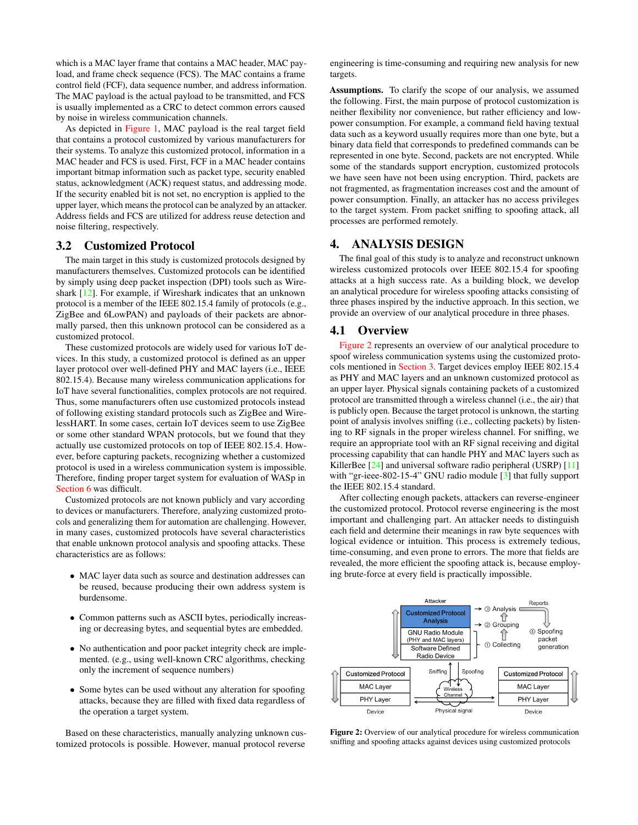which is a MAC layer frame that contains a MAC header, MAC payload, and frame check sequence (FCS). The MAC contains a frame control field (FCF), data sequence number, and address information. The MAC payload is the actual payload to be transmitted, and FCS is usually implemented as a CRC to detect common errors caused by noise in wireless communication channels.

As depicted in [Figure 1,](#page-2-2) MAC payload is the real target field that contains a protocol customized by various manufacturers for their systems. To analyze this customized protocol, information in a MAC header and FCS is used. First, FCF in a MAC header contains important bitmap information such as packet type, security enabled status, acknowledgment (ACK) request status, and addressing mode. If the security enabled bit is not set, no encryption is applied to the upper layer, which means the protocol can be analyzed by an attacker. Address fields and FCS are utilized for address reuse detection and noise filtering, respectively.

#### <span id="page-3-2"></span>3.2 Customized Protocol

The main target in this study is customized protocols designed by manufacturers themselves. Customized protocols can be identified by simply using deep packet inspection (DPI) tools such as Wireshark [\[12\]](#page-10-21). For example, if Wireshark indicates that an unknown protocol is a member of the IEEE 802.15.4 family of protocols (e.g., ZigBee and 6LowPAN) and payloads of their packets are abnormally parsed, then this unknown protocol can be considered as a customized protocol.

These customized protocols are widely used for various IoT devices. In this study, a customized protocol is defined as an upper layer protocol over well-defined PHY and MAC layers (i.e., IEEE 802.15.4). Because many wireless communication applications for IoT have several functionalities, complex protocols are not required. Thus, some manufacturers often use customized protocols instead of following existing standard protocols such as ZigBee and WirelessHART. In some cases, certain IoT devices seem to use ZigBee or some other standard WPAN protocols, but we found that they actually use customized protocols on top of IEEE 802.15.4. However, before capturing packets, recognizing whether a customized protocol is used in a wireless communication system is impossible. Therefore, finding proper target system for evaluation of WASp in [Section 6](#page-7-0) was difficult.

Customized protocols are not known publicly and vary according to devices or manufacturers. Therefore, analyzing customized protocols and generalizing them for automation are challenging. However, in many cases, customized protocols have several characteristics that enable unknown protocol analysis and spoofing attacks. These characteristics are as follows:

- MAC layer data such as source and destination addresses can be reused, because producing their own address system is burdensome.
- Common patterns such as ASCII bytes, periodically increasing or decreasing bytes, and sequential bytes are embedded.
- No authentication and poor packet integrity check are implemented. (e.g., using well-known CRC algorithms, checking only the increment of sequence numbers)
- Some bytes can be used without any alteration for spoofing attacks, because they are filled with fixed data regardless of the operation a target system.

Based on these characteristics, manually analyzing unknown customized protocols is possible. However, manual protocol reverse engineering is time-consuming and requiring new analysis for new targets.

Assumptions. To clarify the scope of our analysis, we assumed the following. First, the main purpose of protocol customization is neither flexibility nor convenience, but rather efficiency and lowpower consumption. For example, a command field having textual data such as a keyword usually requires more than one byte, but a binary data field that corresponds to predefined commands can be represented in one byte. Second, packets are not encrypted. While some of the standards support encryption, customized protocols we have seen have not been using encryption. Third, packets are not fragmented, as fragmentation increases cost and the amount of power consumption. Finally, an attacker has no access privileges to the target system. From packet sniffing to spoofing attack, all processes are performed remotely.

#### <span id="page-3-0"></span>4. ANALYSIS DESIGN

The final goal of this study is to analyze and reconstruct unknown wireless customized protocols over IEEE 802.15.4 for spoofing attacks at a high success rate. As a building block, we develop an analytical procedure for wireless spoofing attacks consisting of three phases inspired by the inductive approach. In this section, we provide an overview of our analytical procedure in three phases.

#### 4.1 Overview

[Figure 2](#page-3-1) represents an overview of our analytical procedure to spoof wireless communication systems using the customized protocols mentioned in [Section 3.](#page-2-0) Target devices employ IEEE 802.15.4 as PHY and MAC layers and an unknown customized protocol as an upper layer. Physical signals containing packets of a customized protocol are transmitted through a wireless channel (i.e., the air) that is publicly open. Because the target protocol is unknown, the starting point of analysis involves sniffing (i.e., collecting packets) by listening to RF signals in the proper wireless channel. For sniffing, we require an appropriate tool with an RF signal receiving and digital processing capability that can handle PHY and MAC layers such as KillerBee [\[24\]](#page-10-22) and universal software radio peripheral (USRP) [\[11\]](#page-10-23) with "gr-ieee-802-15-4" GNU radio module [\[3\]](#page-10-24) that fully support the IEEE 802.15.4 standard.

After collecting enough packets, attackers can reverse-engineer the customized protocol. Protocol reverse engineering is the most important and challenging part. An attacker needs to distinguish each field and determine their meanings in raw byte sequences with logical evidence or intuition. This process is extremely tedious, time-consuming, and even prone to errors. The more that fields are revealed, the more efficient the spoofing attack is, because employing brute-force at every field is practically impossible.

<span id="page-3-1"></span>

Figure 2: Overview of our analytical procedure for wireless communication sniffing and spoofing attacks against devices using customized protocols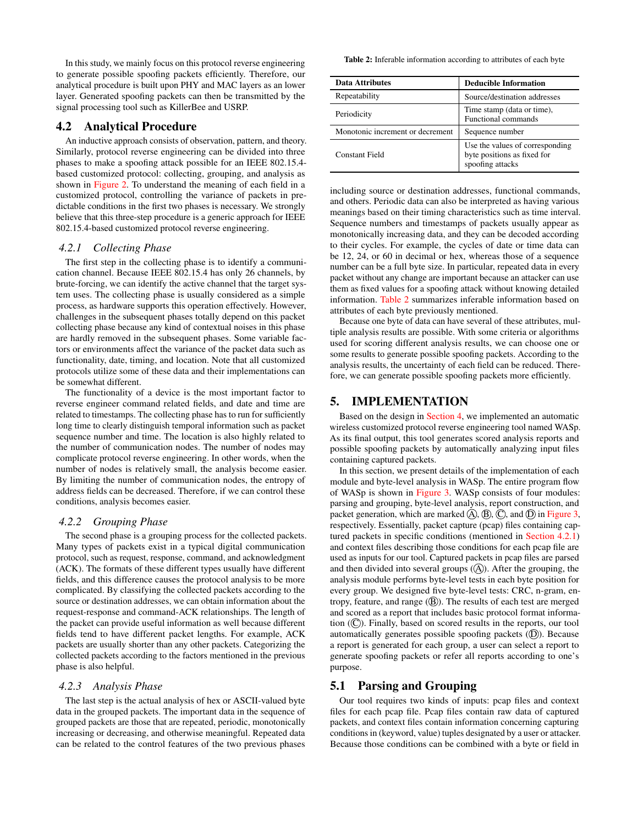In this study, we mainly focus on this protocol reverse engineering to generate possible spoofing packets efficiently. Therefore, our analytical procedure is built upon PHY and MAC layers as an lower layer. Generated spoofing packets can then be transmitted by the signal processing tool such as KillerBee and USRP.

## 4.2 Analytical Procedure

An inductive approach consists of observation, pattern, and theory. Similarly, protocol reverse engineering can be divided into three phases to make a spoofing attack possible for an IEEE 802.15.4 based customized protocol: collecting, grouping, and analysis as shown in [Figure 2.](#page-3-1) To understand the meaning of each field in a customized protocol, controlling the variance of packets in predictable conditions in the first two phases is necessary. We strongly believe that this three-step procedure is a generic approach for IEEE 802.15.4-based customized protocol reverse engineering.

#### <span id="page-4-2"></span>*4.2.1 Collecting Phase*

The first step in the collecting phase is to identify a communication channel. Because IEEE 802.15.4 has only 26 channels, by brute-forcing, we can identify the active channel that the target system uses. The collecting phase is usually considered as a simple process, as hardware supports this operation effectively. However, challenges in the subsequent phases totally depend on this packet collecting phase because any kind of contextual noises in this phase are hardly removed in the subsequent phases. Some variable factors or environments affect the variance of the packet data such as functionality, date, timing, and location. Note that all customized protocols utilize some of these data and their implementations can be somewhat different.

The functionality of a device is the most important factor to reverse engineer command related fields, and date and time are related to timestamps. The collecting phase has to run for sufficiently long time to clearly distinguish temporal information such as packet sequence number and time. The location is also highly related to the number of communication nodes. The number of nodes may complicate protocol reverse engineering. In other words, when the number of nodes is relatively small, the analysis become easier. By limiting the number of communication nodes, the entropy of address fields can be decreased. Therefore, if we can control these conditions, analysis becomes easier.

#### *4.2.2 Grouping Phase*

The second phase is a grouping process for the collected packets. Many types of packets exist in a typical digital communication protocol, such as request, response, command, and acknowledgment (ACK). The formats of these different types usually have different fields, and this difference causes the protocol analysis to be more complicated. By classifying the collected packets according to the source or destination addresses, we can obtain information about the request-response and command-ACK relationships. The length of the packet can provide useful information as well because different fields tend to have different packet lengths. For example, ACK packets are usually shorter than any other packets. Categorizing the collected packets according to the factors mentioned in the previous phase is also helpful.

## *4.2.3 Analysis Phase*

The last step is the actual analysis of hex or ASCII-valued byte data in the grouped packets. The important data in the sequence of grouped packets are those that are repeated, periodic, monotonically increasing or decreasing, and otherwise meaningful. Repeated data can be related to the control features of the two previous phases

Table 2: Inferable information according to attributes of each byte

<span id="page-4-1"></span>

| <b>Data Attributes</b>           | <b>Deducible Information</b>                                                       |
|----------------------------------|------------------------------------------------------------------------------------|
| Repeatability                    | Source/destination addresses                                                       |
| Periodicity                      | Time stamp (data or time),<br><b>Functional commands</b>                           |
| Monotonic increment or decrement | Sequence number                                                                    |
| Constant Field                   | Use the values of corresponding<br>byte positions as fixed for<br>spoofing attacks |

including source or destination addresses, functional commands, and others. Periodic data can also be interpreted as having various meanings based on their timing characteristics such as time interval. Sequence numbers and timestamps of packets usually appear as monotonically increasing data, and they can be decoded according to their cycles. For example, the cycles of date or time data can be 12, 24, or 60 in decimal or hex, whereas those of a sequence number can be a full byte size. In particular, repeated data in every packet without any change are important because an attacker can use them as fixed values for a spoofing attack without knowing detailed information. [Table 2](#page-4-1) summarizes inferable information based on attributes of each byte previously mentioned.

Because one byte of data can have several of these attributes, multiple analysis results are possible. With some criteria or algorithms used for scoring different analysis results, we can choose one or some results to generate possible spoofing packets. According to the analysis results, the uncertainty of each field can be reduced. Therefore, we can generate possible spoofing packets more efficiently.

#### <span id="page-4-0"></span>5. IMPLEMENTATION

Based on the design in [Section 4,](#page-3-0) we implemented an automatic wireless customized protocol reverse engineering tool named WASp. As its final output, this tool generates scored analysis reports and possible spoofing packets by automatically analyzing input files containing captured packets.

In this section, we present details of the implementation of each module and byte-level analysis in WASp. The entire program flow of WASp is shown in [Figure 3.](#page-5-0) WASp consists of four modules: parsing and grouping, byte-level analysis, report construction, and packet generation, which are marked  $(A, B, C)$ , and  $(D)$  in [Figure 3,](#page-5-0) respectively. Essentially, packet capture (pcap) files containing captured packets in specific conditions (mentioned in [Section 4.2.1\)](#page-4-2) and context files describing those conditions for each pcap file are used as inputs for our tool. Captured packets in pcap files are parsed and then divided into several groups  $(A)$ . After the grouping, the analysis module performs byte-level tests in each byte position for every group. We designed five byte-level tests: CRC, n-gram, entropy, feature, and range  $(B)$ . The results of each test are merged and scored as a report that includes basic protocol format information  $(C)$ . Finally, based on scored results in the reports, our tool automatically generates possible spoofing packets  $(①)$ . Because a report is generated for each group, a user can select a report to generate spoofing packets or refer all reports according to one's purpose.

# <span id="page-4-3"></span>5.1 Parsing and Grouping

Our tool requires two kinds of inputs: pcap files and context files for each pcap file. Pcap files contain raw data of captured packets, and context files contain information concerning capturing conditions in (keyword, value) tuples designated by a user or attacker. Because those conditions can be combined with a byte or field in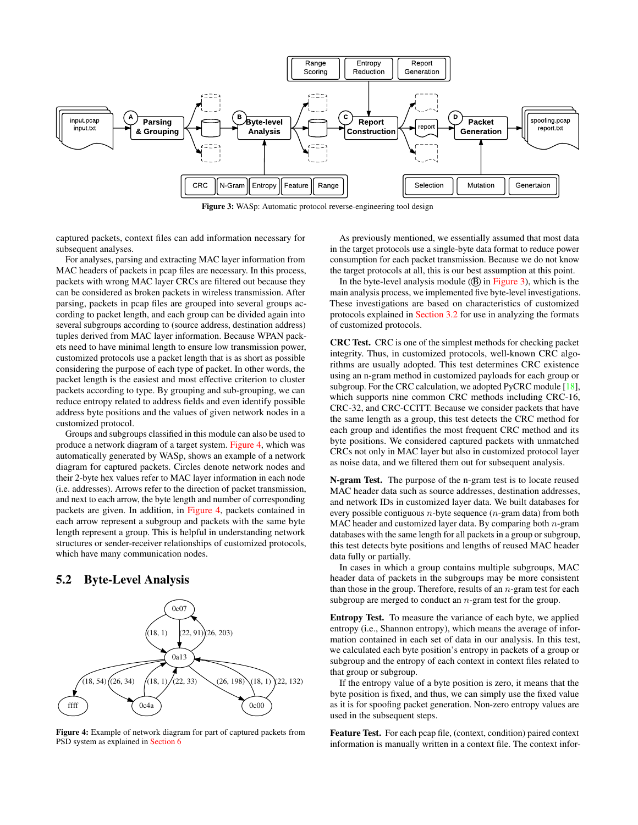<span id="page-5-0"></span>

Figure 3: WASp: Automatic protocol reverse-engineering tool design

captured packets, context files can add information necessary for subsequent analyses.

For analyses, parsing and extracting MAC layer information from MAC headers of packets in pcap files are necessary. In this process, packets with wrong MAC layer CRCs are filtered out because they can be considered as broken packets in wireless transmission. After parsing, packets in pcap files are grouped into several groups according to packet length, and each group can be divided again into several subgroups according to (source address, destination address) tuples derived from MAC layer information. Because WPAN packets need to have minimal length to ensure low transmission power, customized protocols use a packet length that is as short as possible considering the purpose of each type of packet. In other words, the packet length is the easiest and most effective criterion to cluster packets according to type. By grouping and sub-grouping, we can reduce entropy related to address fields and even identify possible address byte positions and the values of given network nodes in a customized protocol.

Groups and subgroups classified in this module can also be used to produce a network diagram of a target system. [Figure 4,](#page-5-1) which was automatically generated by WASp, shows an example of a network diagram for captured packets. Circles denote network nodes and their 2-byte hex values refer to MAC layer information in each node (i.e. addresses). Arrows refer to the direction of packet transmission, and next to each arrow, the byte length and number of corresponding packets are given. In addition, in [Figure 4,](#page-5-1) packets contained in each arrow represent a subgroup and packets with the same byte length represent a group. This is helpful in understanding network structures or sender-receiver relationships of customized protocols, which have many communication nodes.

## <span id="page-5-2"></span>5.2 Byte-Level Analysis

<span id="page-5-1"></span>

Figure 4: Example of network diagram for part of captured packets from PSD system as explained in [Section 6](#page-7-0)

As previously mentioned, we essentially assumed that most data in the target protocols use a single-byte data format to reduce power consumption for each packet transmission. Because we do not know the target protocols at all, this is our best assumption at this point.

In the byte-level analysis module  $(B)$  in [Figure 3\)](#page-5-0), which is the main analysis process, we implemented five byte-level investigations. These investigations are based on characteristics of customized protocols explained in [Section 3.2](#page-3-2) for use in analyzing the formats of customized protocols.

CRC Test. CRC is one of the simplest methods for checking packet integrity. Thus, in customized protocols, well-known CRC algorithms are usually adopted. This test determines CRC existence using an n-gram method in customized payloads for each group or subgroup. For the CRC calculation, we adopted PyCRC module [\[18\]](#page-10-25), which supports nine common CRC methods including CRC-16, CRC-32, and CRC-CCITT. Because we consider packets that have the same length as a group, this test detects the CRC method for each group and identifies the most frequent CRC method and its byte positions. We considered captured packets with unmatched CRCs not only in MAC layer but also in customized protocol layer as noise data, and we filtered them out for subsequent analysis.

N-gram Test. The purpose of the n-gram test is to locate reused MAC header data such as source addresses, destination addresses, and network IDs in customized layer data. We built databases for every possible contiguous  $n$ -byte sequence  $(n$ -gram data) from both MAC header and customized layer data. By comparing both  $n$ -gram databases with the same length for all packets in a group or subgroup, this test detects byte positions and lengths of reused MAC header data fully or partially.

In cases in which a group contains multiple subgroups, MAC header data of packets in the subgroups may be more consistent than those in the group. Therefore, results of an  $n$ -gram test for each subgroup are merged to conduct an *n*-gram test for the group.

Entropy Test. To measure the variance of each byte, we applied entropy (i.e., Shannon entropy), which means the average of information contained in each set of data in our analysis. In this test, we calculated each byte position's entropy in packets of a group or subgroup and the entropy of each context in context files related to that group or subgroup.

If the entropy value of a byte position is zero, it means that the byte position is fixed, and thus, we can simply use the fixed value as it is for spoofing packet generation. Non-zero entropy values are used in the subsequent steps.

Feature Test. For each pcap file, (context, condition) paired context information is manually written in a context file. The context infor-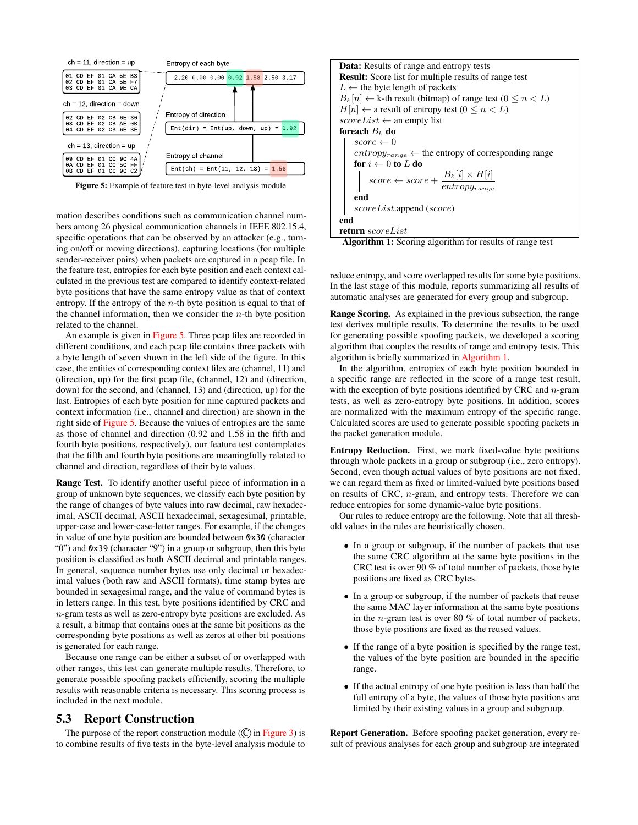<span id="page-6-0"></span>

Figure 5: Example of feature test in byte-level analysis module

mation describes conditions such as communication channel numbers among 26 physical communication channels in IEEE 802.15.4, specific operations that can be observed by an attacker (e.g., turning on/off or moving directions), capturing locations (for multiple sender-receiver pairs) when packets are captured in a pcap file. In the feature test, entropies for each byte position and each context calculated in the previous test are compared to identify context-related byte positions that have the same entropy value as that of context entropy. If the entropy of the  $n$ -th byte position is equal to that of the channel information, then we consider the  $n$ -th byte position related to the channel.

An example is given in [Figure 5.](#page-6-0) Three pcap files are recorded in different conditions, and each pcap file contains three packets with a byte length of seven shown in the left side of the figure. In this case, the entities of corresponding context files are (channel, 11) and (direction, up) for the first pcap file, (channel, 12) and (direction, down) for the second, and (channel, 13) and (direction, up) for the last. Entropies of each byte position for nine captured packets and context information (i.e., channel and direction) are shown in the right side of [Figure 5.](#page-6-0) Because the values of entropies are the same as those of channel and direction (0.92 and 1.58 in the fifth and fourth byte positions, respectively), our feature test contemplates that the fifth and fourth byte positions are meaningfully related to channel and direction, regardless of their byte values.

Range Test. To identify another useful piece of information in a group of unknown byte sequences, we classify each byte position by the range of changes of byte values into raw decimal, raw hexadecimal, ASCII decimal, ASCII hexadecimal, sexagesimal, printable, upper-case and lower-case-letter ranges. For example, if the changes in value of one byte position are bounded between 0x30 (character "0") and 0x39 (character "9") in a group or subgroup, then this byte position is classified as both ASCII decimal and printable ranges. In general, sequence number bytes use only decimal or hexadecimal values (both raw and ASCII formats), time stamp bytes are bounded in sexagesimal range, and the value of command bytes is in letters range. In this test, byte positions identified by CRC and n-gram tests as well as zero-entropy byte positions are excluded. As a result, a bitmap that contains ones at the same bit positions as the corresponding byte positions as well as zeros at other bit positions is generated for each range.

Because one range can be either a subset of or overlapped with other ranges, this test can generate multiple results. Therefore, to generate possible spoofing packets efficiently, scoring the multiple results with reasonable criteria is necessary. This scoring process is included in the next module.

#### <span id="page-6-2"></span>5.3 Report Construction

The purpose of the report construction module  $(\overline{C})$  in [Figure 3\)](#page-5-0) is to combine results of five tests in the byte-level analysis module to <span id="page-6-1"></span>Data: Results of range and entropy tests Result: Score list for multiple results of range test  $L \leftarrow$  the byte length of packets  $B_k[n] \leftarrow$  k-th result (bitmap) of range test ( $0 \leq n \lt L$ )  $H[n] \leftarrow$  a result of entropy test  $(0 \leq n < L)$  $scoreList \leftarrow$  an empty list foreach  $B_k$  do  $score \leftarrow 0$  $entropy_{range} \leftarrow$  the entropy of corresponding range for  $i \leftarrow 0$  to L do  $score \leftarrow score + \frac{B_k[i] \times H[i]}{I}$  $entropy_{range}$ end scoreList.append (score) end return scoreList

Algorithm 1: Scoring algorithm for results of range test

reduce entropy, and score overlapped results for some byte positions. In the last stage of this module, reports summarizing all results of automatic analyses are generated for every group and subgroup.

Range Scoring. As explained in the previous subsection, the range test derives multiple results. To determine the results to be used for generating possible spoofing packets, we developed a scoring algorithm that couples the results of range and entropy tests. This algorithm is briefly summarized in [Algorithm](#page-6-1) [1.](#page-6-1)

In the algorithm, entropies of each byte position bounded in a specific range are reflected in the score of a range test result, with the exception of byte positions identified by CRC and  $n$ -gram tests, as well as zero-entropy byte positions. In addition, scores are normalized with the maximum entropy of the specific range. Calculated scores are used to generate possible spoofing packets in the packet generation module.

Entropy Reduction. First, we mark fixed-value byte positions through whole packets in a group or subgroup (i.e., zero entropy). Second, even though actual values of byte positions are not fixed, we can regard them as fixed or limited-valued byte positions based on results of CRC, n-gram, and entropy tests. Therefore we can reduce entropies for some dynamic-value byte positions.

Our rules to reduce entropy are the following. Note that all threshold values in the rules are heuristically chosen.

- In a group or subgroup, if the number of packets that use the same CRC algorithm at the same byte positions in the CRC test is over 90 % of total number of packets, those byte positions are fixed as CRC bytes.
- In a group or subgroup, if the number of packets that reuse the same MAC layer information at the same byte positions in the n-gram test is over 80 % of total number of packets, those byte positions are fixed as the reused values.
- If the range of a byte position is specified by the range test, the values of the byte position are bounded in the specific range.
- If the actual entropy of one byte position is less than half the full entropy of a byte, the values of those byte positions are limited by their existing values in a group and subgroup.

Report Generation. Before spoofing packet generation, every result of previous analyses for each group and subgroup are integrated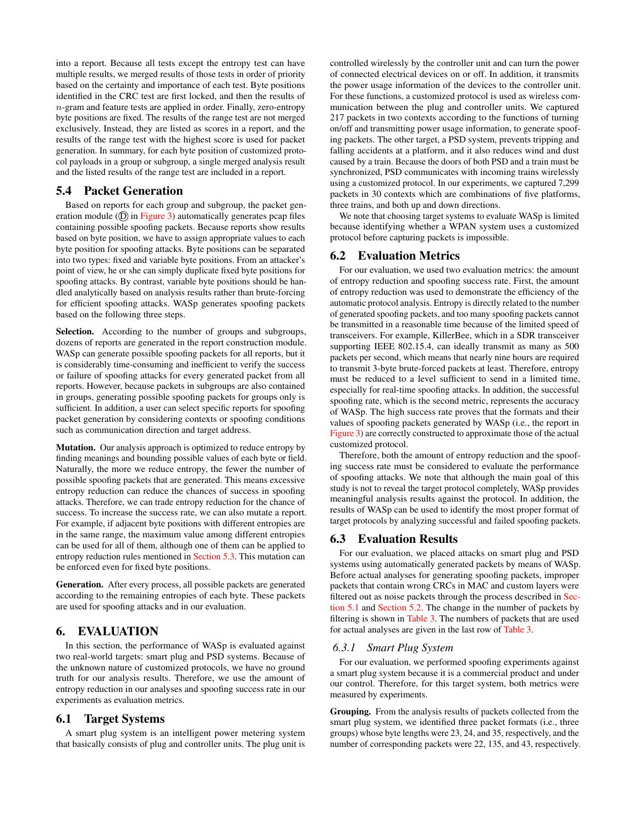into a report. Because all tests except the entropy test can have multiple results, we merged results of those tests in order of priority based on the certainty and importance of each test. Byte positions identified in the CRC test are first locked, and then the results of n-gram and feature tests are applied in order. Finally, zero-entropy byte positions are fixed. The results of the range test are not merged exclusively. Instead, they are listed as scores in a report, and the results of the range test with the highest score is used for packet generation. In summary, for each byte position of customized protocol payloads in a group or subgroup, a single merged analysis result and the listed results of the range test are included in a report.

## <span id="page-7-1"></span>5.4 Packet Generation

Based on reports for each group and subgroup, the packet generation module  $(D)$  in [Figure 3\)](#page-5-0) automatically generates pcap files containing possible spoofing packets. Because reports show results based on byte position, we have to assign appropriate values to each byte position for spoofing attacks. Byte positions can be separated into two types: fixed and variable byte positions. From an attacker's point of view, he or she can simply duplicate fixed byte positions for spoofing attacks. By contrast, variable byte positions should be handled analytically based on analysis results rather than brute-forcing for efficient spoofing attacks. WASp generates spoofing packets based on the following three steps.

Selection. According to the number of groups and subgroups, dozens of reports are generated in the report construction module. WASp can generate possible spoofing packets for all reports, but it is considerably time-consuming and inefficient to verify the success or failure of spoofing attacks for every generated packet from all reports. However, because packets in subgroups are also contained in groups, generating possible spoofing packets for groups only is sufficient. In addition, a user can select specific reports for spoofing packet generation by considering contexts or spoofing conditions such as communication direction and target address.

Mutation. Our analysis approach is optimized to reduce entropy by finding meanings and bounding possible values of each byte or field. Naturally, the more we reduce entropy, the fewer the number of possible spoofing packets that are generated. This means excessive entropy reduction can reduce the chances of success in spoofing attacks. Therefore, we can trade entropy reduction for the chance of success. To increase the success rate, we can also mutate a report. For example, if adjacent byte positions with different entropies are in the same range, the maximum value among different entropies can be used for all of them, although one of them can be applied to entropy reduction rules mentioned in [Section 5.3.](#page-6-2) This mutation can be enforced even for fixed byte positions.

Generation. After every process, all possible packets are generated according to the remaining entropies of each byte. These packets are used for spoofing attacks and in our evaluation.

## <span id="page-7-0"></span>6. EVALUATION

In this section, the performance of WASp is evaluated against two real-world targets: smart plug and PSD systems. Because of the unknown nature of customized protocols, we have no ground truth for our analysis results. Therefore, we use the amount of entropy reduction in our analyses and spoofing success rate in our experiments as evaluation metrics.

## 6.1 Target Systems

A smart plug system is an intelligent power metering system that basically consists of plug and controller units. The plug unit is controlled wirelessly by the controller unit and can turn the power of connected electrical devices on or off. In addition, it transmits the power usage information of the devices to the controller unit. For these functions, a customized protocol is used as wireless communication between the plug and controller units. We captured 217 packets in two contexts according to the functions of turning on/off and transmitting power usage information, to generate spoofing packets. The other target, a PSD system, prevents tripping and falling accidents at a platform, and it also reduces wind and dust caused by a train. Because the doors of both PSD and a train must be synchronized, PSD communicates with incoming trains wirelessly using a customized protocol. In our experiments, we captured 7,299 packets in 30 contexts which are combinations of five platforms, three trains, and both up and down directions.

We note that choosing target systems to evaluate WASp is limited because identifying whether a WPAN system uses a customized protocol before capturing packets is impossible.

## 6.2 Evaluation Metrics

For our evaluation, we used two evaluation metrics: the amount of entropy reduction and spoofing success rate. First, the amount of entropy reduction was used to demonstrate the efficiency of the automatic protocol analysis. Entropy is directly related to the number of generated spoofing packets, and too many spoofing packets cannot be transmitted in a reasonable time because of the limited speed of transceivers. For example, KillerBee, which in a SDR transceiver supporting IEEE 802.15.4, can ideally transmit as many as 500 packets per second, which means that nearly nine hours are required to transmit 3-byte brute-forced packets at least. Therefore, entropy must be reduced to a level sufficient to send in a limited time, especially for real-time spoofing attacks. In addition, the successful spoofing rate, which is the second metric, represents the accuracy of WASp. The high success rate proves that the formats and their values of spoofing packets generated by WASp (i.e., the report in [Figure 3\)](#page-5-0) are correctly constructed to approximate those of the actual customized protocol.

Therefore, both the amount of entropy reduction and the spoofing success rate must be considered to evaluate the performance of spoofing attacks. We note that although the main goal of this study is not to reveal the target protocol completely, WASp provides meaningful analysis results against the protocol. In addition, the results of WASp can be used to identify the most proper format of target protocols by analyzing successful and failed spoofing packets.

## 6.3 Evaluation Results

For our evaluation, we placed attacks on smart plug and PSD systems using automatically generated packets by means of WASp. Before actual analyses for generating spoofing packets, improper packets that contain wrong CRCs in MAC and custom layers were filtered out as noise packets through the process described in [Sec](#page-4-3)[tion 5.1](#page-4-3) and [Section 5.2.](#page-5-2) The change in the number of packets by filtering is shown in [Table 3.](#page-8-0) The numbers of packets that are used for actual analyses are given in the last row of [Table 3.](#page-8-0)

#### *6.3.1 Smart Plug System*

For our evaluation, we performed spoofing experiments against a smart plug system because it is a commercial product and under our control. Therefore, for this target system, both metrics were measured by experiments.

Grouping. From the analysis results of packets collected from the smart plug system, we identified three packet formats (i.e., three groups) whose byte lengths were 23, 24, and 35, respectively, and the number of corresponding packets were 22, 135, and 43, respectively.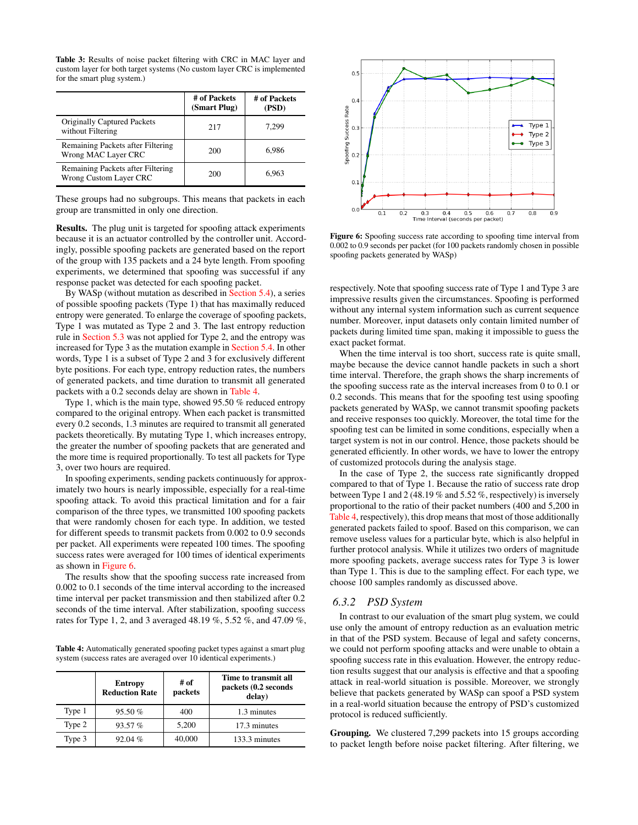Table 3: Results of noise packet filtering with CRC in MAC layer and custom layer for both target systems (No custom layer CRC is implemented for the smart plug system.)

<span id="page-8-0"></span>

|                                                             | # of Packets<br>(Smart Plug) | # of Packets<br>(PSD) |
|-------------------------------------------------------------|------------------------------|-----------------------|
| <b>Originally Captured Packets</b><br>without Filtering     | 217                          | 7.299                 |
| Remaining Packets after Filtering<br>Wrong MAC Layer CRC    | 200                          | 6.986                 |
| Remaining Packets after Filtering<br>Wrong Custom Layer CRC | 200                          | 6.963                 |

These groups had no subgroups. This means that packets in each group are transmitted in only one direction.

Results. The plug unit is targeted for spoofing attack experiments because it is an actuator controlled by the controller unit. Accordingly, possible spoofing packets are generated based on the report of the group with 135 packets and a 24 byte length. From spoofing experiments, we determined that spoofing was successful if any response packet was detected for each spoofing packet.

By WASp (without mutation as described in [Section 5.4\)](#page-7-1), a series of possible spoofing packets (Type 1) that has maximally reduced entropy were generated. To enlarge the coverage of spoofing packets, Type 1 was mutated as Type 2 and 3. The last entropy reduction rule in [Section 5.3](#page-6-2) was not applied for Type 2, and the entropy was increased for Type 3 as the mutation example in [Section 5.4.](#page-7-1) In other words, Type 1 is a subset of Type 2 and 3 for exclusively different byte positions. For each type, entropy reduction rates, the numbers of generated packets, and time duration to transmit all generated packets with a 0.2 seconds delay are shown in [Table 4.](#page-8-1)

Type 1, which is the main type, showed 95.50 % reduced entropy compared to the original entropy. When each packet is transmitted every 0.2 seconds, 1.3 minutes are required to transmit all generated packets theoretically. By mutating Type 1, which increases entropy, the greater the number of spoofing packets that are generated and the more time is required proportionally. To test all packets for Type 3, over two hours are required.

In spoofing experiments, sending packets continuously for approximately two hours is nearly impossible, especially for a real-time spoofing attack. To avoid this practical limitation and for a fair comparison of the three types, we transmitted 100 spoofing packets that were randomly chosen for each type. In addition, we tested for different speeds to transmit packets from 0.002 to 0.9 seconds per packet. All experiments were repeated 100 times. The spoofing success rates were averaged for 100 times of identical experiments as shown in [Figure 6.](#page-8-2)

The results show that the spoofing success rate increased from 0.002 to 0.1 seconds of the time interval according to the increased time interval per packet transmission and then stabilized after 0.2 seconds of the time interval. After stabilization, spoofing success rates for Type 1, 2, and 3 averaged 48.19 %, 5.52 %, and 47.09 %,

Table 4: Automatically generated spoofing packet types against a smart plug system (success rates are averaged over 10 identical experiments.)

<span id="page-8-1"></span>

|        | # of<br><b>Entropy</b><br>packets<br><b>Reduction Rate</b> |        | Time to transmit all<br>packets (0.2 seconds<br>delay) |  |
|--------|------------------------------------------------------------|--------|--------------------------------------------------------|--|
| Type 1 | 95.50%                                                     | 400    | 1.3 minutes                                            |  |
| Type 2 | 93.57%                                                     | 5,200  | 17.3 minutes                                           |  |
| Type 3 | 92.04%                                                     | 40,000 | 133.3 minutes                                          |  |

<span id="page-8-2"></span>

Figure 6: Spoofing success rate according to spoofing time interval from 0.002 to 0.9 seconds per packet (for 100 packets randomly chosen in possible spoofing packets generated by WASp)

respectively. Note that spoofing success rate of Type 1 and Type 3 are impressive results given the circumstances. Spoofing is performed without any internal system information such as current sequence number. Moreover, input datasets only contain limited number of packets during limited time span, making it impossible to guess the exact packet format.

When the time interval is too short, success rate is quite small, maybe because the device cannot handle packets in such a short time interval. Therefore, the graph shows the sharp increments of the spoofing success rate as the interval increases from 0 to 0.1 or 0.2 seconds. This means that for the spoofing test using spoofing packets generated by WASp, we cannot transmit spoofing packets and receive responses too quickly. Moreover, the total time for the spoofing test can be limited in some conditions, especially when a target system is not in our control. Hence, those packets should be generated efficiently. In other words, we have to lower the entropy of customized protocols during the analysis stage.

In the case of Type 2, the success rate significantly dropped compared to that of Type 1. Because the ratio of success rate drop between Type 1 and 2 (48.19 % and 5.52 %, respectively) is inversely proportional to the ratio of their packet numbers (400 and 5,200 in [Table 4,](#page-8-1) respectively), this drop means that most of those additionally generated packets failed to spoof. Based on this comparison, we can remove useless values for a particular byte, which is also helpful in further protocol analysis. While it utilizes two orders of magnitude more spoofing packets, average success rates for Type 3 is lower than Type 1. This is due to the sampling effect. For each type, we choose 100 samples randomly as discussed above.

#### *6.3.2 PSD System*

In contrast to our evaluation of the smart plug system, we could use only the amount of entropy reduction as an evaluation metric in that of the PSD system. Because of legal and safety concerns, we could not perform spoofing attacks and were unable to obtain a spoofing success rate in this evaluation. However, the entropy reduction results suggest that our analysis is effective and that a spoofing attack in real-world situation is possible. Moreover, we strongly believe that packets generated by WASp can spoof a PSD system in a real-world situation because the entropy of PSD's customized protocol is reduced sufficiently.

Grouping. We clustered 7,299 packets into 15 groups according to packet length before noise packet filtering. After filtering, we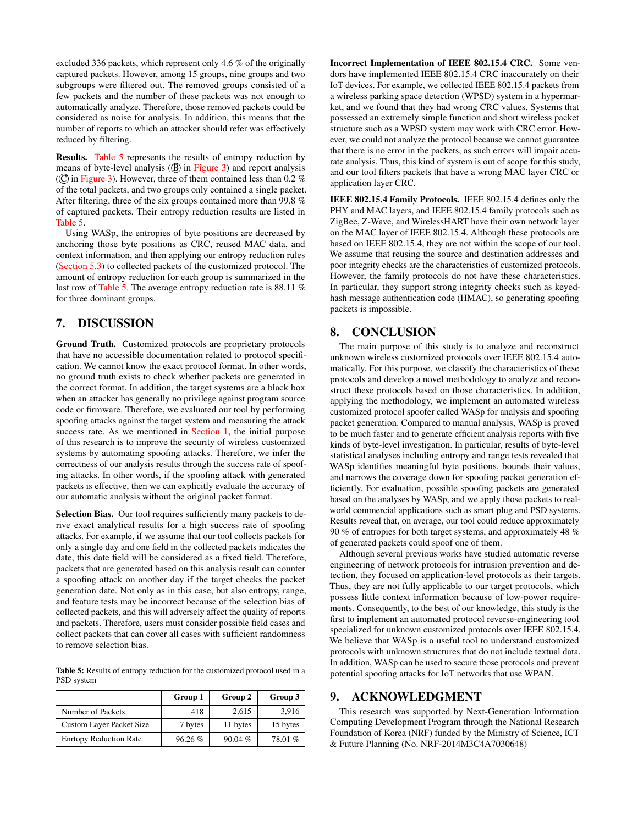excluded 336 packets, which represent only 4.6 % of the originally captured packets. However, among 15 groups, nine groups and two subgroups were filtered out. The removed groups consisted of a few packets and the number of these packets was not enough to automatically analyze. Therefore, those removed packets could be considered as noise for analysis. In addition, this means that the number of reports to which an attacker should refer was effectively reduced by filtering.

Results. [Table 5](#page-9-2) represents the results of entropy reduction by means of byte-level analysis  $(\widehat{B})$  in [Figure 3\)](#page-5-0) and report analysis ( $\overline{C}$ ) in [Figure 3\)](#page-5-0). However, three of them contained less than 0.2 % of the total packets, and two groups only contained a single packet. After filtering, three of the six groups contained more than 99.8 % of captured packets. Their entropy reduction results are listed in [Table 5.](#page-9-2)

Using WASp, the entropies of byte positions are decreased by anchoring those byte positions as CRC, reused MAC data, and context information, and then applying our entropy reduction rules [\(Section 5.3\)](#page-6-2) to collected packets of the customized protocol. The amount of entropy reduction for each group is summarized in the last row of [Table 5.](#page-9-2) The average entropy reduction rate is 88.11 % for three dominant groups.

# <span id="page-9-0"></span>7. DISCUSSION

Ground Truth. Customized protocols are proprietary protocols that have no accessible documentation related to protocol specification. We cannot know the exact protocol format. In other words, no ground truth exists to check whether packets are generated in the correct format. In addition, the target systems are a black box when an attacker has generally no privilege against program source code or firmware. Therefore, we evaluated our tool by performing spoofing attacks against the target system and measuring the attack success rate. As we mentioned in [Section 1,](#page-0-0) the initial purpose of this research is to improve the security of wireless customized systems by automating spoofing attacks. Therefore, we infer the correctness of our analysis results through the success rate of spoofing attacks. In other words, if the spoofing attack with generated packets is effective, then we can explicitly evaluate the accuracy of our automatic analysis without the original packet format.

Selection Bias. Our tool requires sufficiently many packets to derive exact analytical results for a high success rate of spoofing attacks. For example, if we assume that our tool collects packets for only a single day and one field in the collected packets indicates the date, this date field will be considered as a fixed field. Therefore, packets that are generated based on this analysis result can counter a spoofing attack on another day if the target checks the packet generation date. Not only as in this case, but also entropy, range, and feature tests may be incorrect because of the selection bias of collected packets, and this will adversely affect the quality of reports and packets. Therefore, users must consider possible field cases and collect packets that can cover all cases with sufficient randomness to remove selection bias.

Table 5: Results of entropy reduction for the customized protocol used in a PSD system

<span id="page-9-2"></span>

|                                 | Group 1 | Group 2  | Group 3  |
|---------------------------------|---------|----------|----------|
| Number of Packets               | 418     | 2,615    | 3.916    |
| <b>Custom Layer Packet Size</b> | 7 bytes | 11 bytes | 15 bytes |
| <b>Enrtopy Reduction Rate</b>   | 96.26%  | 90.04%   | 78.01 %  |

Incorrect Implementation of IEEE 802.15.4 CRC. Some vendors have implemented IEEE 802.15.4 CRC inaccurately on their IoT devices. For example, we collected IEEE 802.15.4 packets from a wireless parking space detection (WPSD) system in a hypermarket, and we found that they had wrong CRC values. Systems that possessed an extremely simple function and short wireless packet structure such as a WPSD system may work with CRC error. However, we could not analyze the protocol because we cannot guarantee that there is no error in the packets, as such errors will impair accurate analysis. Thus, this kind of system is out of scope for this study, and our tool filters packets that have a wrong MAC layer CRC or application layer CRC.

IEEE 802.15.4 Family Protocols. IEEE 802.15.4 defines only the PHY and MAC layers, and IEEE 802.15.4 family protocols such as ZigBee, Z-Wave, and WirelessHART have their own network layer on the MAC layer of IEEE 802.15.4. Although these protocols are based on IEEE 802.15.4, they are not within the scope of our tool. We assume that reusing the source and destination addresses and poor integrity checks are the characteristics of customized protocols. However, the family protocols do not have these characteristics. In particular, they support strong integrity checks such as keyedhash message authentication code (HMAC), so generating spoofing packets is impossible.

## <span id="page-9-1"></span>8. CONCLUSION

The main purpose of this study is to analyze and reconstruct unknown wireless customized protocols over IEEE 802.15.4 automatically. For this purpose, we classify the characteristics of these protocols and develop a novel methodology to analyze and reconstruct these protocols based on those characteristics. In addition, applying the methodology, we implement an automated wireless customized protocol spoofer called WASp for analysis and spoofing packet generation. Compared to manual analysis, WASp is proved to be much faster and to generate efficient analysis reports with five kinds of byte-level investigation. In particular, results of byte-level statistical analyses including entropy and range tests revealed that WASp identifies meaningful byte positions, bounds their values, and narrows the coverage down for spoofing packet generation efficiently. For evaluation, possible spoofing packets are generated based on the analyses by WASp, and we apply those packets to realworld commercial applications such as smart plug and PSD systems. Results reveal that, on average, our tool could reduce approximately 90 % of entropies for both target systems, and approximately 48 % of generated packets could spoof one of them.

Although several previous works have studied automatic reverse engineering of network protocols for intrusion prevention and detection, they focused on application-level protocols as their targets. Thus, they are not fully applicable to our target protocols, which possess little context information because of low-power requirements. Consequently, to the best of our knowledge, this study is the first to implement an automated protocol reverse-engineering tool specialized for unknown customized protocols over IEEE 802.15.4. We believe that WASp is a useful tool to understand customized protocols with unknown structures that do not include textual data. In addition, WASp can be used to secure those protocols and prevent potential spoofing attacks for IoT networks that use WPAN.

## 9. ACKNOWLEDGMENT

This research was supported by Next-Generation Information Computing Development Program through the National Research Foundation of Korea (NRF) funded by the Ministry of Science, ICT & Future Planning (No. NRF-2014M3C4A7030648)